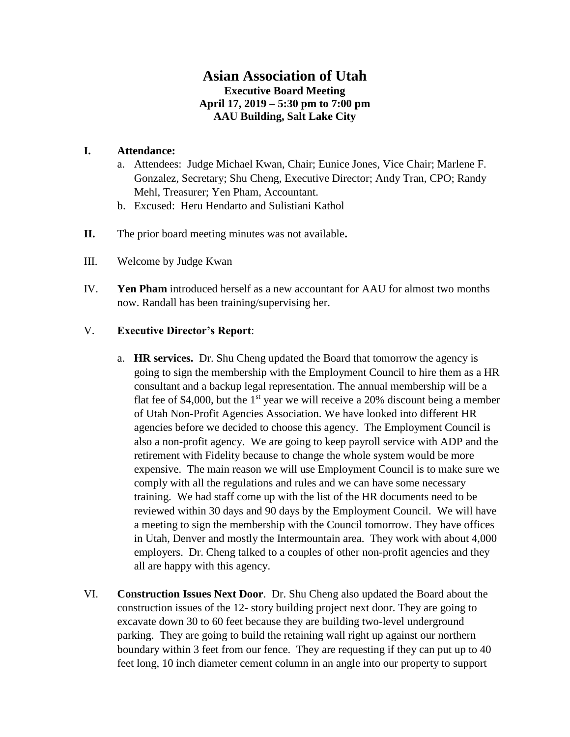## **Asian Association of Utah Executive Board Meeting April 17, 2019 – 5:30 pm to 7:00 pm AAU Building, Salt Lake City**

## **I. Attendance:**

- a. Attendees: Judge Michael Kwan, Chair; Eunice Jones, Vice Chair; Marlene F. Gonzalez, Secretary; Shu Cheng, Executive Director; Andy Tran, CPO; Randy Mehl, Treasurer; Yen Pham, Accountant.
- b. Excused: Heru Hendarto and Sulistiani Kathol
- **II.** The prior board meeting minutes was not available**.**
- III. Welcome by Judge Kwan
- IV. **Yen Pham** introduced herself as a new accountant for AAU for almost two months now. Randall has been training/supervising her.

## V. **Executive Director's Report**:

- a. **HR services.** Dr. Shu Cheng updated the Board that tomorrow the agency is going to sign the membership with the Employment Council to hire them as a HR consultant and a backup legal representation. The annual membership will be a flat fee of \$4,000, but the  $1<sup>st</sup>$  year we will receive a 20% discount being a member of Utah Non-Profit Agencies Association. We have looked into different HR agencies before we decided to choose this agency. The Employment Council is also a non-profit agency. We are going to keep payroll service with ADP and the retirement with Fidelity because to change the whole system would be more expensive. The main reason we will use Employment Council is to make sure we comply with all the regulations and rules and we can have some necessary training. We had staff come up with the list of the HR documents need to be reviewed within 30 days and 90 days by the Employment Council. We will have a meeting to sign the membership with the Council tomorrow. They have offices in Utah, Denver and mostly the Intermountain area. They work with about 4,000 employers. Dr. Cheng talked to a couples of other non-profit agencies and they all are happy with this agency.
- VI. **Construction Issues Next Door**. Dr. Shu Cheng also updated the Board about the construction issues of the 12- story building project next door. They are going to excavate down 30 to 60 feet because they are building two-level underground parking. They are going to build the retaining wall right up against our northern boundary within 3 feet from our fence. They are requesting if they can put up to 40 feet long, 10 inch diameter cement column in an angle into our property to support